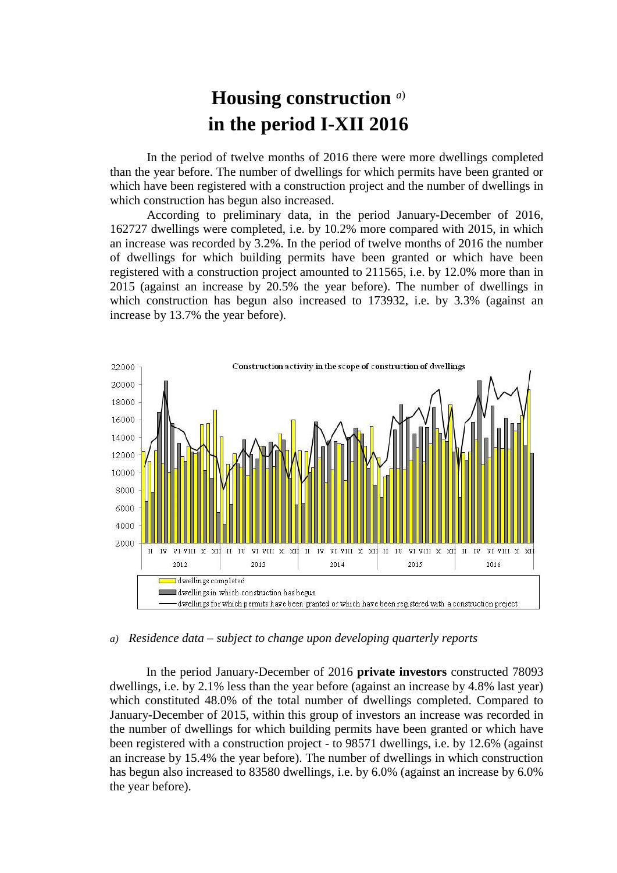## **Housing construction** *a*) **in the period I-XII 2016**

In the period of twelve months of 2016 there were more dwellings completed than the year before. The number of dwellings for which permits have been granted or which have been registered with a construction project and the number of dwellings in which construction has begun also increased.

According to preliminary data, in the period January-December of 2016, 162727 dwellings were completed, i.e. by 10.2% more compared with 2015, in which an increase was recorded by 3.2%. In the period of twelve months of 2016 the number of dwellings for which building permits have been granted or which have been registered with a construction project amounted to 211565, i.e. by 12.0% more than in 2015 (against an increase by 20.5% the year before). The number of dwellings in which construction has begun also increased to 173932, i.e. by 3.3% (against an increase by 13.7% the year before).



## *a) Residence data – subject to change upon developing quarterly reports*

In the period January-December of 2016 **private investors** constructed 78093 dwellings, i.e. by 2.1% less than the year before (against an increase by 4.8% last year) which constituted 48.0% of the total number of dwellings completed. Compared to January-December of 2015, within this group of investors an increase was recorded in the number of dwellings for which building permits have been granted or which have been registered with a construction project - to 98571 dwellings, i.e. by 12.6% (against an increase by 15.4% the year before). The number of dwellings in which construction has begun also increased to 83580 dwellings, i.e. by 6.0% (against an increase by 6.0% the year before).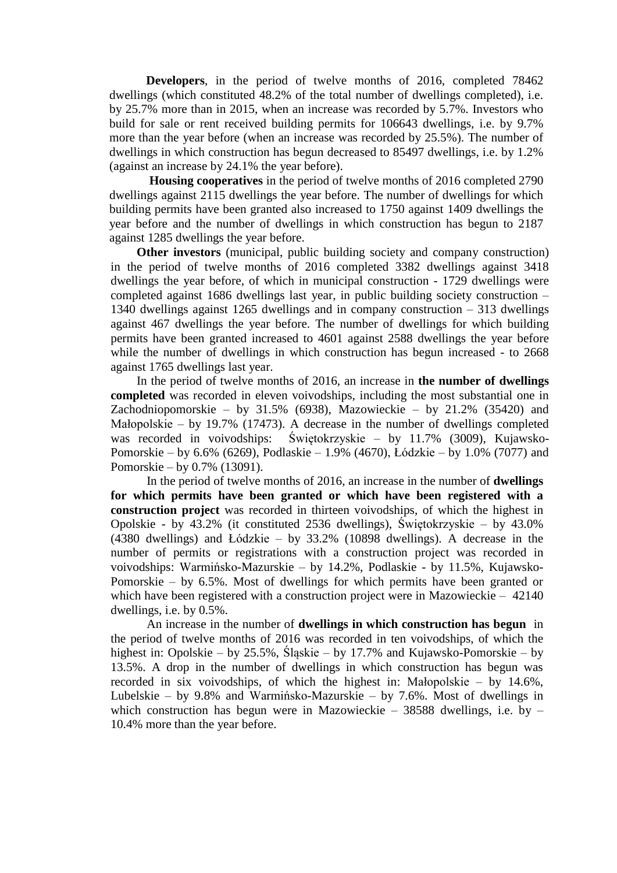**Developers**, in the period of twelve months of 2016, completed 78462 dwellings (which constituted 48.2% of the total number of dwellings completed), i.e. by 25.7% more than in 2015, when an increase was recorded by 5.7%. Investors who build for sale or rent received building permits for 106643 dwellings, i.e. by 9.7% more than the year before (when an increase was recorded by 25.5%). The number of dwellings in which construction has begun decreased to 85497 dwellings, i.e. by 1.2% (against an increase by 24.1% the year before).

**Housing cooperatives** in the period of twelve months of 2016 completed 2790 dwellings against 2115 dwellings the year before. The number of dwellings for which building permits have been granted also increased to 1750 against 1409 dwellings the year before and the number of dwellings in which construction has begun to 2187 against 1285 dwellings the year before.

**Other investors** (municipal, public building society and company construction) in the period of twelve months of 2016 completed 3382 dwellings against 3418 dwellings the year before, of which in municipal construction - 1729 dwellings were completed against 1686 dwellings last year, in public building society construction – 1340 dwellings against 1265 dwellings and in company construction – 313 dwellings against 467 dwellings the year before. The number of dwellings for which building permits have been granted increased to 4601 against 2588 dwellings the year before while the number of dwellings in which construction has begun increased - to 2668 against 1765 dwellings last year.

In the period of twelve months of 2016, an increase in **the number of dwellings completed** was recorded in eleven voivodships, including the most substantial one in Zachodniopomorskie – by  $31.5\%$  (6938), Mazowieckie – by  $21.2\%$  (35420) and Małopolskie – by 19.7% (17473). A decrease in the number of dwellings completed was recorded in voivodships: Świętokrzyskie – by 11.7% (3009), Kujawsko-Pomorskie – by 6.6% (6269), Podlaskie – 1.9% (4670), Łódzkie – by 1.0% (7077) and Pomorskie – by 0.7% (13091).

In the period of twelve months of 2016, an increase in the number of **dwellings for which permits have been granted or which have been registered with a construction project** was recorded in thirteen voivodships, of which the highest in Opolskie - by 43.2% (it constituted 2536 dwellings), Świętokrzyskie – by 43.0% (4380 dwellings) and Łódzkie – by 33.2% (10898 dwellings). A decrease in the number of permits or registrations with a construction project was recorded in voivodships: Warmińsko-Mazurskie – by 14.2%, Podlaskie - by 11.5%, Kujawsko-Pomorskie – by 6.5%. Most of dwellings for which permits have been granted or which have been registered with a construction project were in Mazowieckie – 42140 dwellings, i.e. by 0.5%.

An increase in the number of **dwellings in which construction has begun** in the period of twelve months of 2016 was recorded in ten voivodships, of which the highest in: Opolskie – by 25.5%, Śląskie – by 17.7% and Kujawsko-Pomorskie – by 13.5%. A drop in the number of dwellings in which construction has begun was recorded in six voivodships, of which the highest in: Małopolskie – by 14.6%, Lubelskie – by 9.8% and Warmińsko-Mazurskie – by 7.6%. Most of dwellings in which construction has begun were in Mazowieckie – 38588 dwellings, i.e. by – 10.4% more than the year before.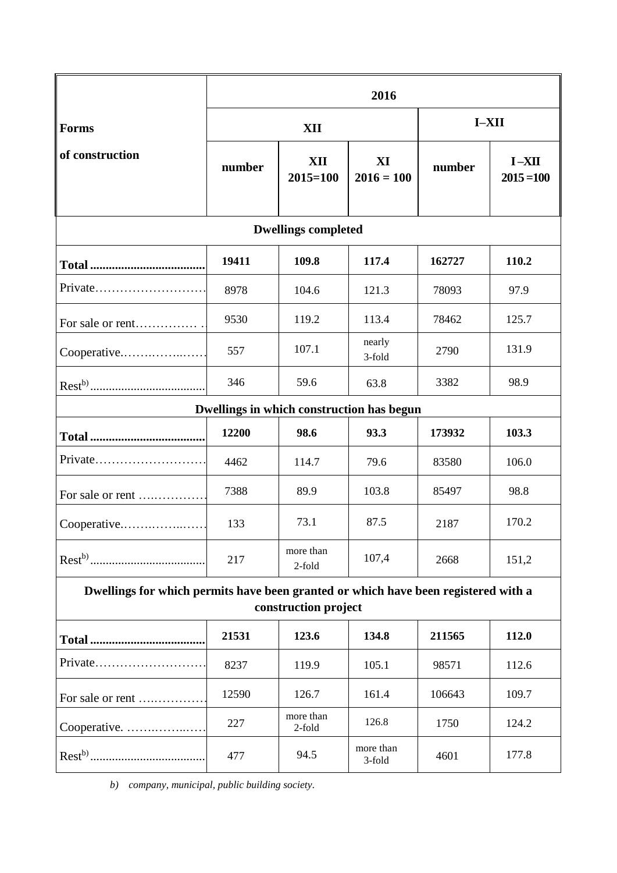|                                                                                                            | 2016   |                     |                     |         |                           |
|------------------------------------------------------------------------------------------------------------|--------|---------------------|---------------------|---------|---------------------------|
| <b>Forms</b><br>of construction                                                                            | XII    |                     |                     | $I-XII$ |                           |
|                                                                                                            | number | XII<br>$2015 = 100$ | XI<br>$2016 = 100$  | number  | $I - XII$<br>$2015 = 100$ |
| <b>Dwellings completed</b>                                                                                 |        |                     |                     |         |                           |
|                                                                                                            | 19411  | 109.8               | 117.4               | 162727  | 110.2                     |
| Private                                                                                                    | 8978   | 104.6               | 121.3               | 78093   | 97.9                      |
| For sale or rent                                                                                           | 9530   | 119.2               | 113.4               | 78462   | 125.7                     |
| Cooperative                                                                                                | 557    | 107.1               | nearly<br>3-fold    | 2790    | 131.9                     |
|                                                                                                            | 346    | 59.6                | 63.8                | 3382    | 98.9                      |
| Dwellings in which construction has begun                                                                  |        |                     |                     |         |                           |
|                                                                                                            | 12200  | 98.6                | 93.3                | 173932  | 103.3                     |
| Private                                                                                                    | 4462   | 114.7               | 79.6                | 83580   | 106.0                     |
| For sale or rent                                                                                           | 7388   | 89.9                | 103.8               | 85497   | 98.8                      |
| Cooperative                                                                                                | 133    | 73.1                | 87.5                | 2187    | 170.2                     |
|                                                                                                            | 217    | more than<br>2-fold | 107,4               | 2668    | 151,2                     |
| Dwellings for which permits have been granted or which have been registered with a<br>construction project |        |                     |                     |         |                           |
|                                                                                                            |        |                     |                     |         |                           |
|                                                                                                            | 21531  | 123.6               | 134.8               | 211565  | 112.0                     |
| Private                                                                                                    | 8237   | 119.9               | 105.1               | 98571   | 112.6                     |
| For sale or rent                                                                                           | 12590  | 126.7               | 161.4               | 106643  | 109.7                     |
| Cooperative.                                                                                               | 227    | more than<br>2-fold | 126.8               | 1750    | 124.2                     |
|                                                                                                            | 477    | 94.5                | more than<br>3-fold | 4601    | 177.8                     |

*b) company, municipal, public building society.*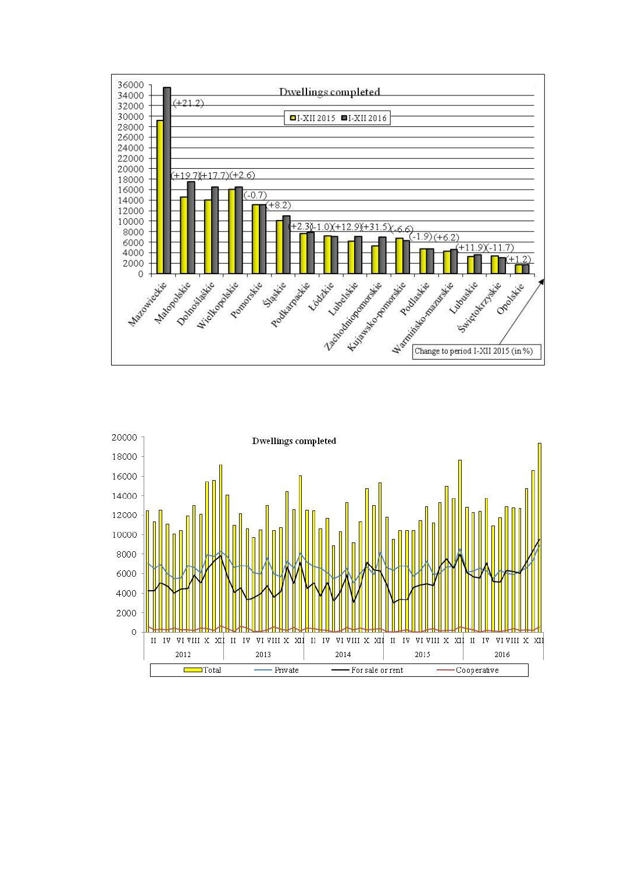